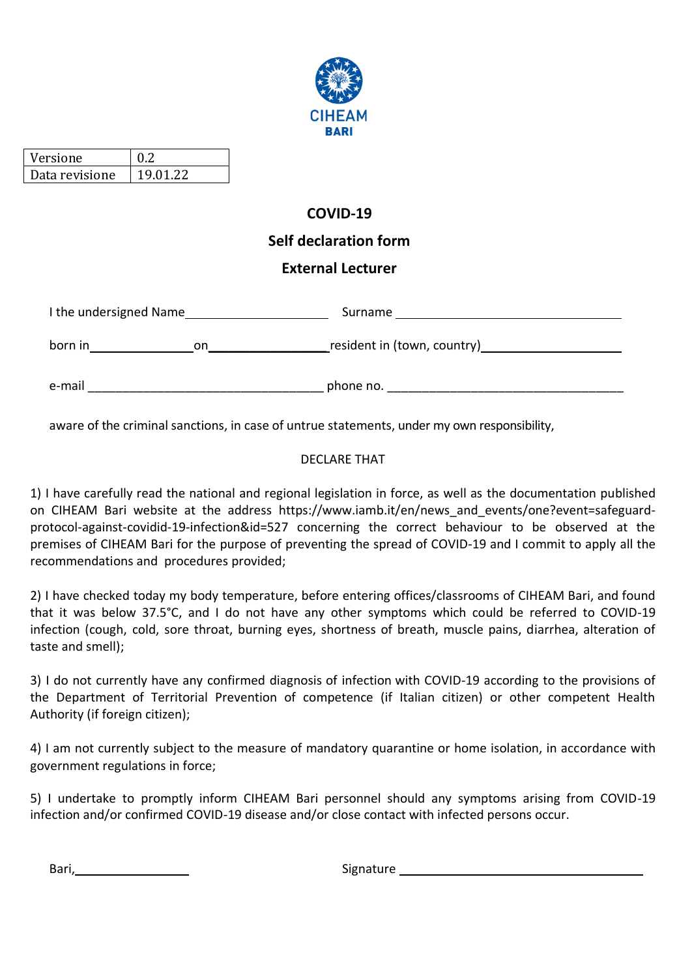

| Versione       |          |
|----------------|----------|
| Data revisione | 19.01.22 |

## **COVID-19**

# **Self declaration form**

## **External Lecturer**

| I the undersigned Name |     | Surname                              |
|------------------------|-----|--------------------------------------|
| born in                | on. | resident in (town, country)_________ |
| e-mail                 |     | phone no.                            |

aware of the criminal sanctions, in case of untrue statements, under my own responsibility,

### DECLARE THAT

1) I have carefully read the national and regional legislation in force, as well as the documentation published on CIHEAM Bari website at the address https://www.iamb.it/en/news and events/one?event=safeguardprotocol-against-covidid-19[-infection&id=527](https://www.iamb.it/en/news_and_events/one?event=safeguard-protocol-against-covidid-19-infection&id=527) concerning the correct behaviour to be observed at the premises of CIHEAM Bari for the purpose of preventing the spread of COVID-19 and I commit to apply all the recommendations and procedures provided;

2) I have checked today my body temperature, before entering offices/classrooms of CIHEAM Bari, and found that it was below 37.5°C, and I do not have any other symptoms which could be referred to COVID-19 infection (cough, cold, sore throat, burning eyes, shortness of breath, muscle pains, diarrhea, alteration of taste and smell);

3) I do not currently have any confirmed diagnosis of infection with COVID-19 according to the provisions of the Department of Territorial Prevention of competence (if Italian citizen) or other competent Health Authority (if foreign citizen);

4) I am not currently subject to the measure of mandatory quarantine or home isolation, in accordance with government regulations in force;

5) I undertake to promptly inform CIHEAM Bari personnel should any symptoms arising from COVID-19 infection and/or confirmed COVID-19 disease and/or close contact with infected persons occur.

Bari, 2008. [2016] Signature Signature Signature Signature Signature Signature Signature Signature Signature Signature Signature Signature Signature Signature Signature Signature Signature Signature Signature Signature Sig